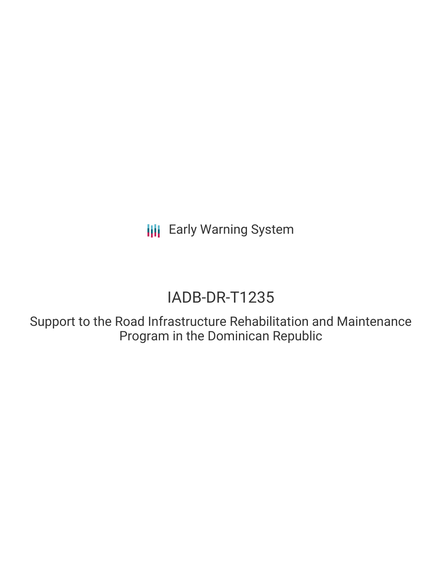**III** Early Warning System

# IADB-DR-T1235

Support to the Road Infrastructure Rehabilitation and Maintenance Program in the Dominican Republic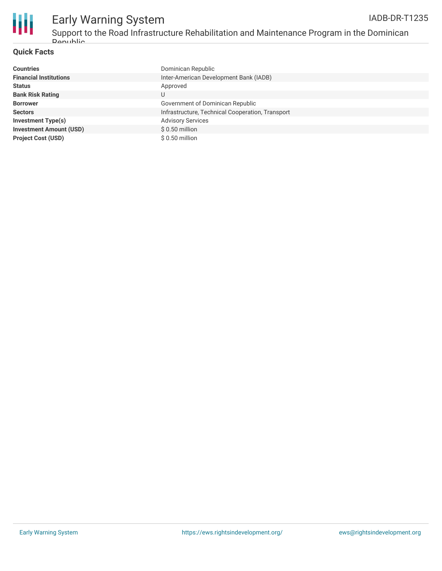

## Early Warning System

Support to the Road Infrastructure Rehabilitation and Maintenance Program in the Dominican **Dopublic** 

### **Quick Facts**

| <b>Countries</b>               | Dominican Republic                               |
|--------------------------------|--------------------------------------------------|
| <b>Financial Institutions</b>  | Inter-American Development Bank (IADB)           |
| <b>Status</b>                  | Approved                                         |
| <b>Bank Risk Rating</b>        |                                                  |
| <b>Borrower</b>                | Government of Dominican Republic                 |
| <b>Sectors</b>                 | Infrastructure, Technical Cooperation, Transport |
| <b>Investment Type(s)</b>      | <b>Advisory Services</b>                         |
| <b>Investment Amount (USD)</b> | $$0.50$ million                                  |
| <b>Project Cost (USD)</b>      | $$0.50$ million                                  |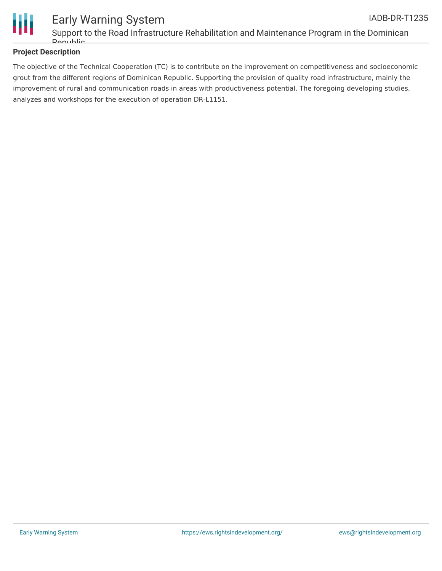

### **Project Description**

The objective of the Technical Cooperation (TC) is to contribute on the improvement on competitiveness and socioeconomic grout from the different regions of Dominican Republic. Supporting the provision of quality road infrastructure, mainly the improvement of rural and communication roads in areas with productiveness potential. The foregoing developing studies, analyzes and workshops for the execution of operation DR-L1151.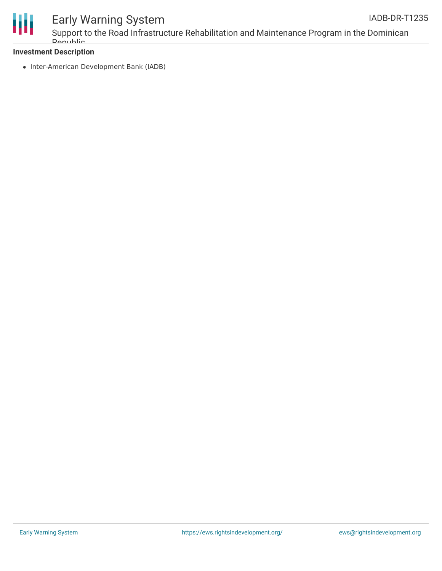

## Early Warning System

Support to the Road Infrastructure Rehabilitation and Maintenance Program in the Dominican Republic

### **Investment Description**

• Inter-American Development Bank (IADB)